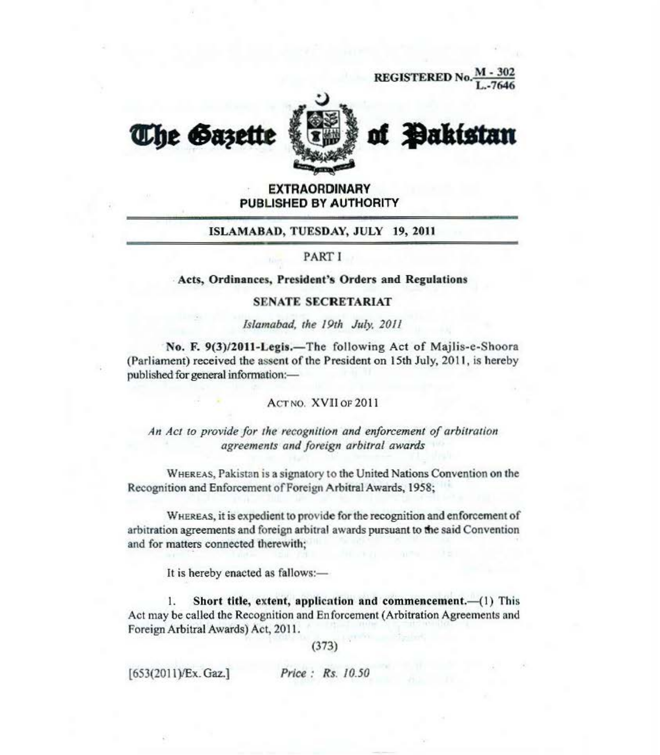**REGISTERED No.** L.-7646



**EXTRAORDINARY PUBLISHED BY AUTHORITY** 

ISLAMABAD, TUESDAY, JULY 19, 2011

# PART I

#### Acts, Ordinances, President's Orders and Regulations

# SENATE SECRETARIAT

*Islamabad, the 19th July. 20 II* 

No. F. 9(3)/2011-Legis.-The following Act of Majlis-e-Shoora (Parliament) received the assent of the President on 15th July, 2011, is hereby published for general information:-

### ACTNO. XVII OF 2011

An Act to provide for the recognition and enforcement of arbitration *agreements and foreign arbitral awards* 

WHEREAS, Pakistan is a signatory to the United Nations Convention on the Recognition and Enforcement of Foreign Arbitral Awards, 1958;

WHEREAS, it is expedient to provide for the recognition and enforcement of arbitration agreements and foreign arbitral awards pursuant to the said Convention and for matters connected therewith;

It is hereby enacted as fallows:-

1. Short title, extent, application and commencement.--(1) This Act may be called the Recognition and Enforcement (Arbitration Agreements and Foreign Arbitral Awards) Act, 20 II.

 $(373)$ 

[653(2011)/Ex. Gaz.] *Price : Rs. 10.50*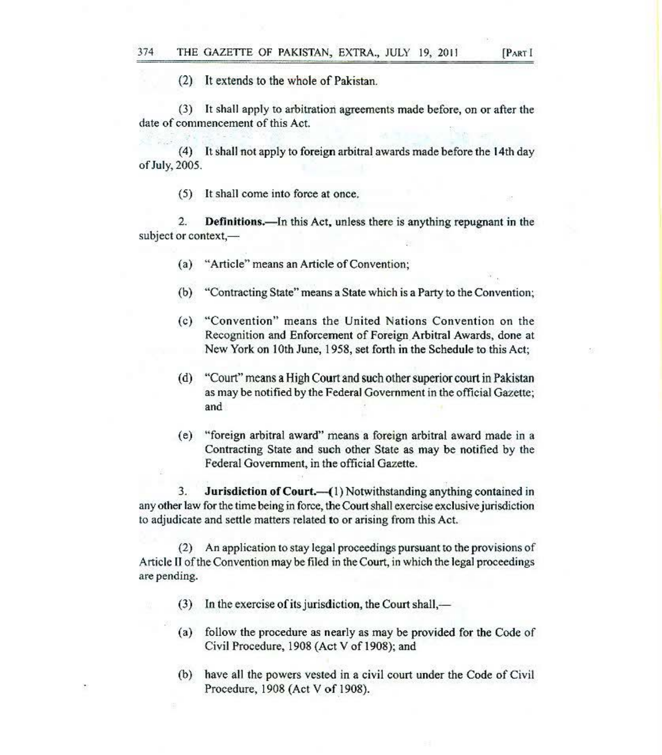(2) It extends to the whole of Pakistan.

(3) It shall apply to arbitration agreements made before, on or after the date of commencement of this Act.

( 4) It shall not apply to foreign arbitral awards made before the 14th day of July, 2005.

(5) It shall come into force at once.

2. Definitions.—In this Act, unless there is anything repugnant in the subject or context,-

- (a) "Article" means an Article of Convention;
- (b) "Contracting State" means a State which is a Party to the Convention;
- (c) "Convention" means the United Nations Convention on the Recognition and Enforcement of Foreign.Arbitral Awards, done at New York on 10th June, 1958, set forth in the Schedule to this Act;
- (d) "Court" means a High Court and such other superior court in Pakistan as may be notified by the Federal Government in the official Gazette; and
- (e) "foreign arbitral award" means a foreign arbitral award made in a Contracting State and such other State as may be notified by the Federal Government, in the official Gazette.

3. Jurisdiction of Court.—(1) Notwithstanding anything contained in any other law for the time being in force, the Court shall exercise exclusive jurisdiction to adjudicate and settle matters related to or arising from this Act.

(2) An application to stay legal proceedings pursuant to the provisions of Article II of the Convention may be filed in the Court, in which the legal proceedings are pending.

- $(3)$  In the exercise of its jurisdiction, the Court shall,—
- (a) follow the procedure as nearly as may be provided for the Code of Civil Procedure, 1908 (Act V of 1908); and
- (b) have all the powers vesled in a civil court under the Code of Civil Procedure, 1908 (Act V of 1908).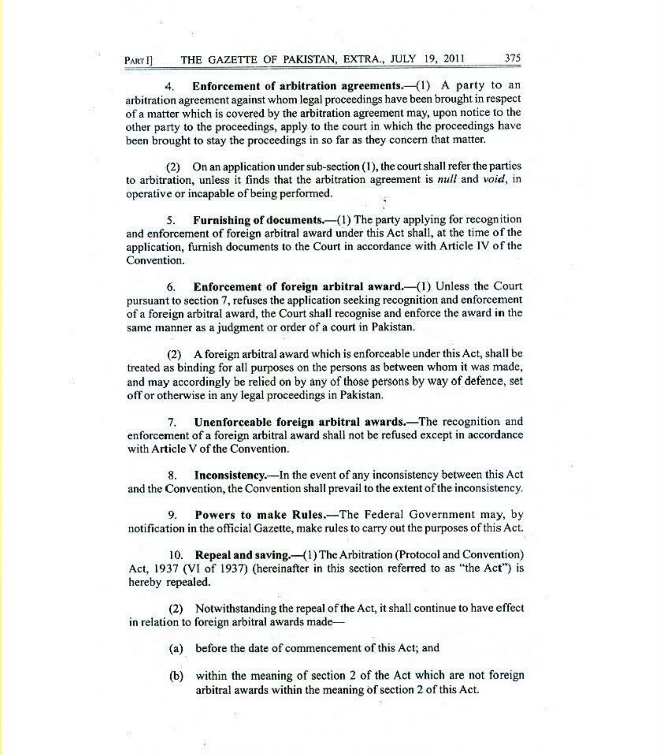4. Enforcement of arbitration agreements.-(1) A party to an arbitration agreement against whom legal proceedings have been brought in respect of a marter which is covered by the arbitration agreement may, upon notice to the other party to the proceedings, apply to the court in which the proceedings have been brought to stay the proceedings in so far as they concern that matter.

{2) On an application under sub-section (I), the court shall refer the parties to arbitration, unless it finds that the arbitration agreement is *null* and *void,* in operative or incapable of being performed.

5. Furnishing of documents.— $(1)$  The party applying for recognition and enforcement of foreign arbitral award under this Act shall, at the time of the application, furnish documents to the Court in accordance with Article IV of the Convention.

6. Enforcement of foreign arbitral award. $-(1)$  Unless the Court. pursuant to section 7, refuses the application seeking recognition and enforcement of a foreign arbitral award, the Court shall recognise and enforce the award in the same manner as a judgment or order of a court in Pakistan.

(2) A foreign arbitral award which is enforceable under this Act, shall be treated as binding for all purposes on the persons as between whom it was made, and may accordingly be relied on by any of those persons by way of defence, set off or otherwise in any legal proceedings in Pakistan.

7. Unenforceable foreign arbitral awards.—The recognition and enforcement of a foreign arbitral award shall not be refused except in accordance with Article V of the Convention.

8. Inconsistency.—In the event of any inconsistency between this Act and the Convention, the Convention shall prevail to the extent of the inconsistency.

9. Powers to make Rules.—The Federal Government may, by notification in the official Gazette, make rules to carry out the purposes of this Act.

10. Repeal and saving.—(1) The Arbitration (Protocol and Convention) Act, 1937 (VI of 1937) (hereinafter in this section referred to as "the Act") is hereby repealed.

(2) Notwithstanding the repeal of the Act, it shall continue to have effect in relation to foreign arbitral awards made-

- (a) before the date of commencement of this Act; and
- (b) within the meaning of section 2 of the Act which are not foreign arbitral awards within the meaning of section 2 of this Act.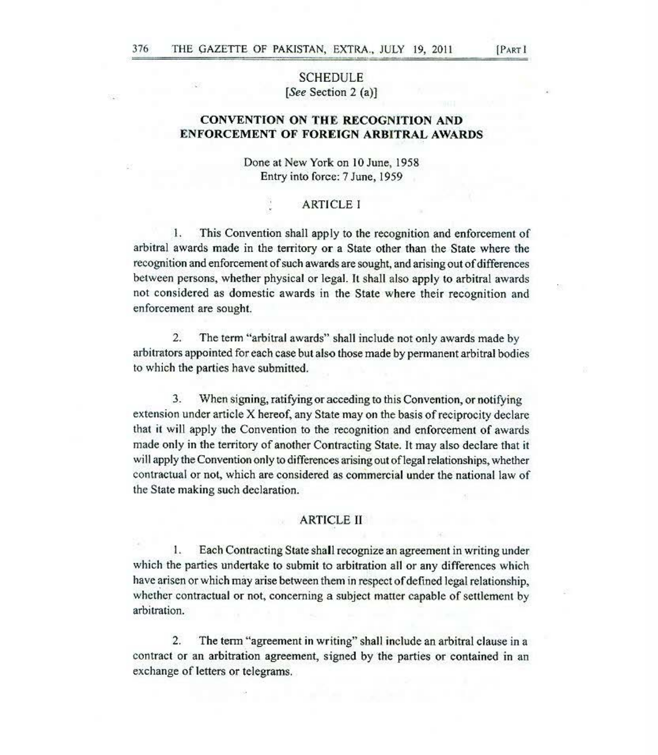# **SCHEDULE** [See Section 2 (a)]

# CONVENTION ON THE RECOGNITION AND ENFORCEMENT OF FOREIGN ARBITRAL AWARDS

Done at New York on 10 June, 1958 Entry into force: 7 June, 1959

#### ARTICLE I

I. This Convention shall apply to the recognition and enforcement of arbitral awards made in the territory or a State other than the State where the recognition and enforcement of such awards are sought, and arising out of differences between persons, whether physical or legal. It shall also apply to arbitral awards not considered as domestic awards in the State where their recognition and enforcement are sought.

2. The term "arbitral awards" shall include not only awards made by arbitrators appointed for each case but also those made by permanent arbitral bodies to which the parties have submitted.

3. When signing, ratifying or acceding to this Convention, or notifying extension under article X hereof, any State may on the basis of reciprocity declare that it will apply the Convention to the recognition and enforcement of awards made only in the territory of another Contracting State. It may also declare that it will apply the Convention only to differences arising out oflegal relationships, whether contractual or not, which are considered as commercial under the national law of the State making such declaration.

#### ARTICLE II

I. Each Contracting State shall recognize an agreement in writing under which the parties undertake to submit to arbitration all or any differences which have arisen or which may arise between them in respect of defined legal relationship, whether contractual or not, concerning a subject matter capable of settlement by arbitration.

2. The term "agreement in writing" shall include an arbitral clause in a contract or an arbitration agreement, signed by the parties or contained in an exchange of letters or telegrams.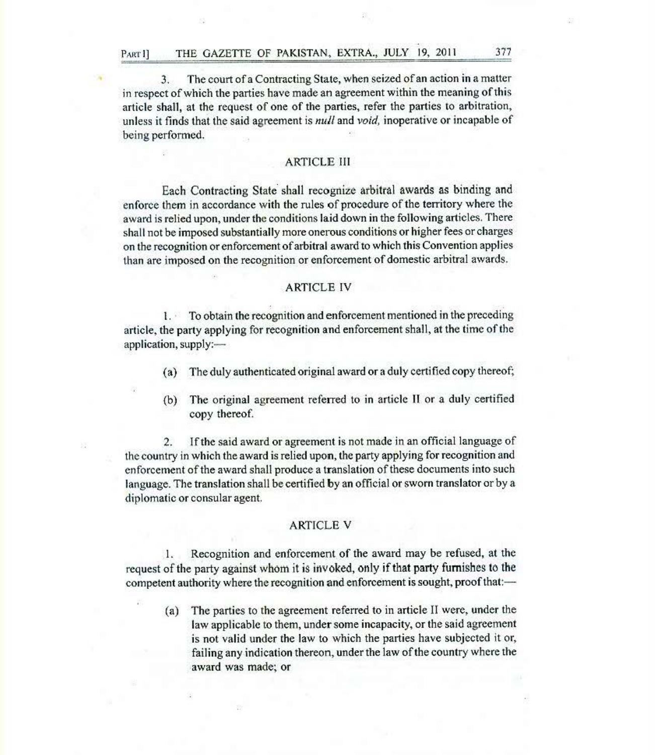3. The court of a Contracting State, when seized of an action in a matter in respect of which the parties have made an agreement within the meaning of this article shall, at the request of one of the parties, refer the parties to arbitration, unless it finds that the said agreement is *null* and *void,* inoperative or incapable of being performed.

#### **ARTICLE III**

Each Contracting State shall recognize arbitral awards as binding and enforce them in accordance with the rules of procedure of the territory where the award is relied upon, under the conditions laid down in the following articles. There shall not be imposed substantially more onerous conditions or higher fees or charges on the recognition or enforcement of arbitral award to which this Convention applies than arc imposed on the recognition or enforcement of domestic arbitral awards.

#### ARTICLE IV

I. · To obtain the recognition and enforcement mentioned in the preceding article, the party applying for recognition and enforcement shall, at the time of the. application, supply:-

- (a) The duly authenticated original award or a duly certified copy thereof;
- (b) The original agreement refened to in article II or a duly certified copy thereof.

2. If the said award or agreement is not made in an official language of the country in which the award is relied upon, the party applying for recognition and enforcement of the award shall produce a translation of these documents into such language. The translation shall be certified by an official or sworn translator or by a diplomatic or consular agent.

#### ARTICLE V

1. Recognition and enforcement of the award may be refused, at the request of the party against whom it is invoked, only if that party furnishes to the competent authority where the recognition and enforcement is sought, proof that:-

(a) The parties to the agreement referred to in article II were, under the law applicable to them, under some incapacity, or the said agreement is not valid under the law to which the parties have subjected it or, failing any indication thereon, under the law of the country where the award was made; or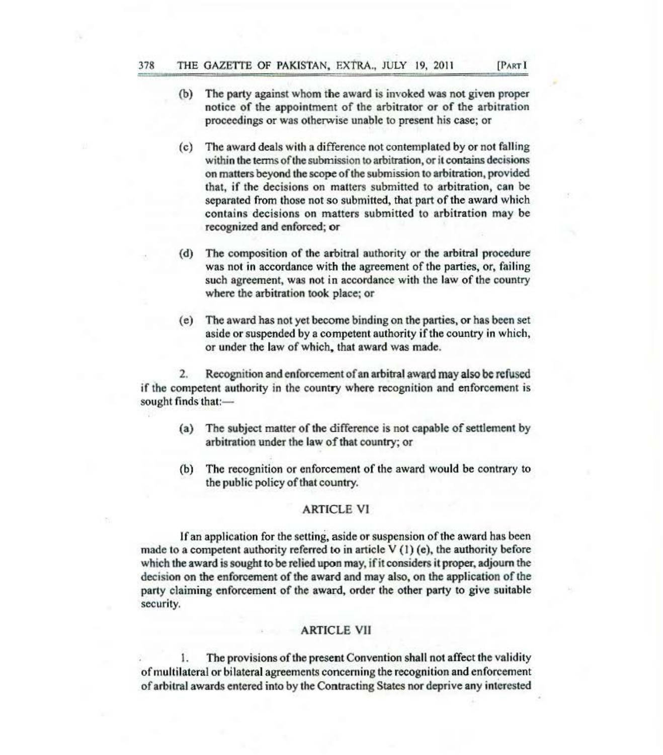- (b) The party against whom the award is invoked was not given proper notice of the appointment of the arbitrator or of the arbitration proceedings or was otherwise unable to present his case; or
- (c) The award deals with a difference not contemplated by or not falling within the terms of the submission to arbitration, or it contains decisions on matters beyond the scope ofthe submission to arbitration, provided that, if the decisions on matters submitted to arbitration, can be separated from those not so submitted, that part of the award which contains decisions on matters submitted to arbitration may be recognized and enforced; or
- (d) The composition of the arbitral authority or the arbitral procedure was not in accordance with the agreement of the parties, or, failing such agreement, was not in accordance with the law of the country where the arbitration took place; or
- (e) The award has not yet become binding on the parties, or has been set aside or suspended by a competent authority if the country in which, or under the law of which, that award was made.

2. Recognition and enforcement of an arbitral award may also be refused if the competent authority in the country where recognition and enforcement is sought finds that:-

- (a) The subject matter of the difference is not capable of settlement by arbitration under the law of that country; or
- (b) The recognition or enforcement of the award would be contrary to the public policy of that country.

#### ARTICLE VI

If an application for the setting, aside or suspension of the award has been made to a competent authority referred to in article  $V(1)$  (e), the authority before which the award is sought to be relied upon may, if it considers it proper, adjourn the decision on the enforcement of the award and may also, on the application of the party claiming enforcement of the award, order the other party to give suitable security.

#### ARTICLE VII

I. The provisions of the present Convention shall not affect the validity of multilateral or bilateral agreements concerning the recognition and enforcement of arbitral awards entered into by the Contracting States nor deprive any interested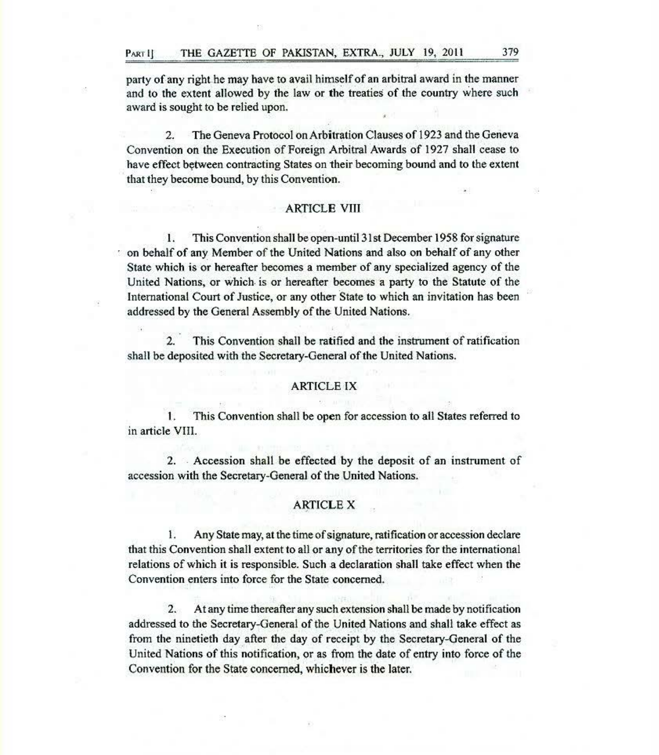party of. any right. he may bave to avail himself of an arbitral award in the manner and to the extent allowed by the law or the treaties of the country where such award is sought to be relied upon.

2. The Geneva Protocol on Arbitration Clauses of 1923 and the Geneva Convention on the Execution of Foreign Arbitral Awards of 1927 shall cease to have effect between contracting States on their becoming bound and to the extent that they become bound, by this Convention.

#### ARTICLE Vlll

I. This Convention shall be open-until31 st December 1958 for signature on behalf of any Member of the United Nations and also on behalf of any other State which is or hereafter becomes a member of any specialized agency of the United Nations, or which. is or hereafter becomes a party to the Statute of the International Court of Justice, or any other State to which an invitation has been addressed by the General Assembly of the United Nations.

2. This Convention shall be ratified and the instrument of ratification shall be deposited with the Secretary-General of the United Nations.

#### ARTICLE IX

I. This Convention shall be open for accession to all States referred to in article VIII.

2. . Accession shall be effected by the deposit of an instrument of accession with the Secretary-General of the United Nations.

# **ARTICLE X**

I. Any State may, at the time of signature, ratification or accession declare that this Convention shall extent to all or any of the territories for the international relations of which it is responsible. Such a declaration shall take effect when the Convention enters into force for the State concemed.

2. At any time thereafter any such extension shall be made by notification addressed to the Secretary-General of the United Nations and shall take effect as from the ninetieth day. after the day of receipt by the Secretary-General of the United Nations of this notification, or as from the date of entry into force of the Convention for the State concerned, whichever is the later.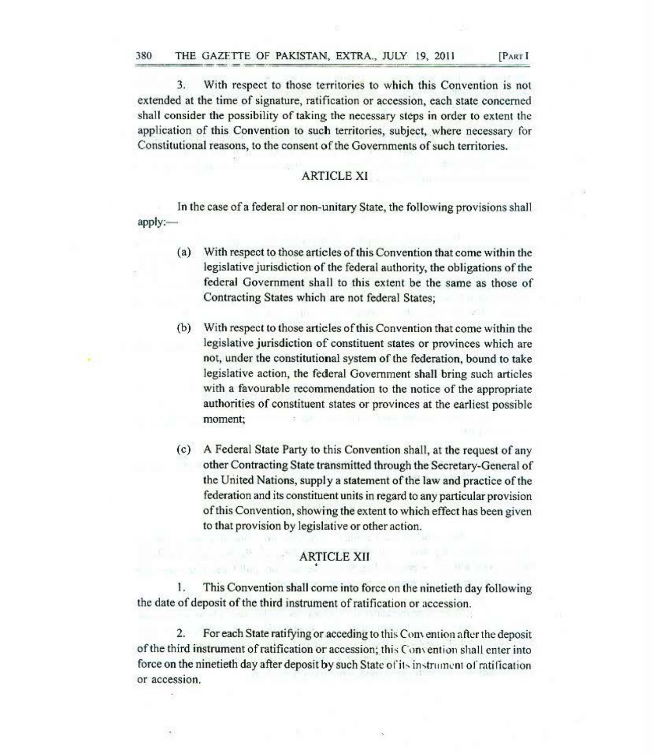3. With respect. to those territories to which this Convention is not extended at the time of signature, ratification or accession, each state concerned shall consider the possibility of taking the necessary steps in order to extent the application of this Convention to such territories, subject, where necessary for Constitutional reasons, to the consent of the Governments of such territories.

# **ARTICLE XI**

In the case of a federal or non-unitary State, the following provisions shall apply:-

- (a) With respect to those articles of this Convention that come within the legislative jurisdiction of the federal authority, the obligations of the federal Government shall to this extent be the same as those of Contracting States which are not federal States;
- (b) With respect to those articles of this Convention that come within the legislative jurisdiction of constituent states or provinces which are not, under the constitutional system of the federation, bound to take legislative action, the federal Government shall bring such articles with a favourable recommendation to the notice of the appropriate authorities of constituent states or provinces at the earliest possible **moment;**
- (c) A Federal State Party io this Convention shall, at the request of any other Contracting State transmitted through the Secretary-General of the Uriited Nations, supply a statement of the law and practice of the federation and its constituent units in regard to any particular provision of this Convention, showing the extent to which effect has been given to that provision by legislative or other action.

# ARTICLE XII •

1. This Convention shall come into force on the ninetieth day following the date of deposit of the third instrument of ratification or accession.

2. For each State ratifying or acceding to this Convention after the deposit of the third instrument of ratification or accession; this Convention shall enter into force on the ninetieth day after deposit by such State of it, instrument of ratification or accession.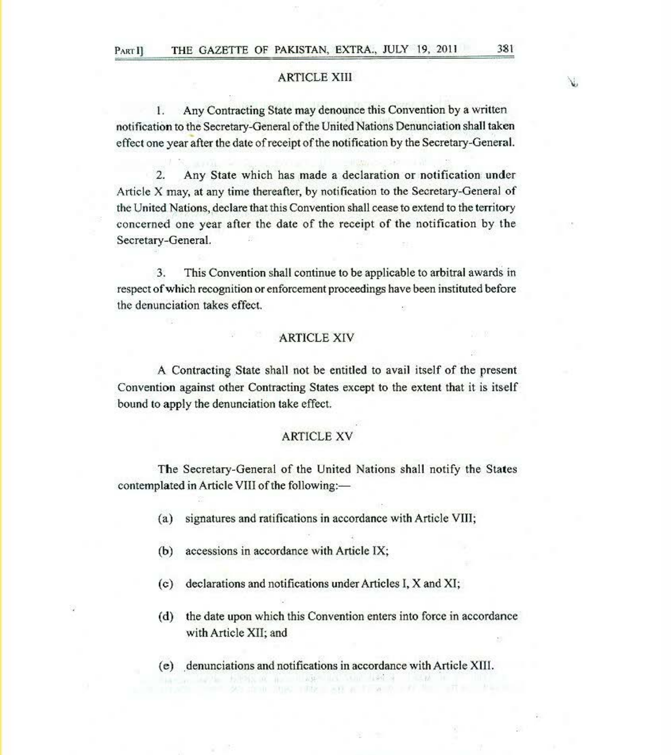### ARTICLE XIII

I. Any Contracting State may denounce this Convention by a written notification to the Secretary-General of the United Nations Denunciation shall taken effect one year after the date of receipt of the notification by the Secretary-General.

2. Any State which has made a declaration or notification under Article X may, at any time thereafter, by notification to the Secretary-General of the United Nations, declare that this Convention shall cease to extend to the territory concerned one year after the date of the receipt of the notification by the Secretary-General.

3. This Convention shall continue to be applicable to arbitral awards in respect of which recognition or enforcement proceedings have been instituted before the denunciation takes effect.

#### **ARTICLE XIV**

A Contracting State shall not be entitled to avail itself of the present Convention against other Contracting States except to the extent that it is itself bound to apply the denunciation take effect.

# ARTICLE XV

The Secretary-General of the United Nations shall notify the States contemplated in Article VIII of the following:-

- (a) signatures and ratifications in accordance with Article VIII;
- (b) accessions in accordance with Article IX;
- (c) declarations and notifications under Articles I, X and XI;
- (d) the date upon which this Convention enters into force in accordance with Article XII; and

(e) . denunciations and notifications in accordance with Article XIII.